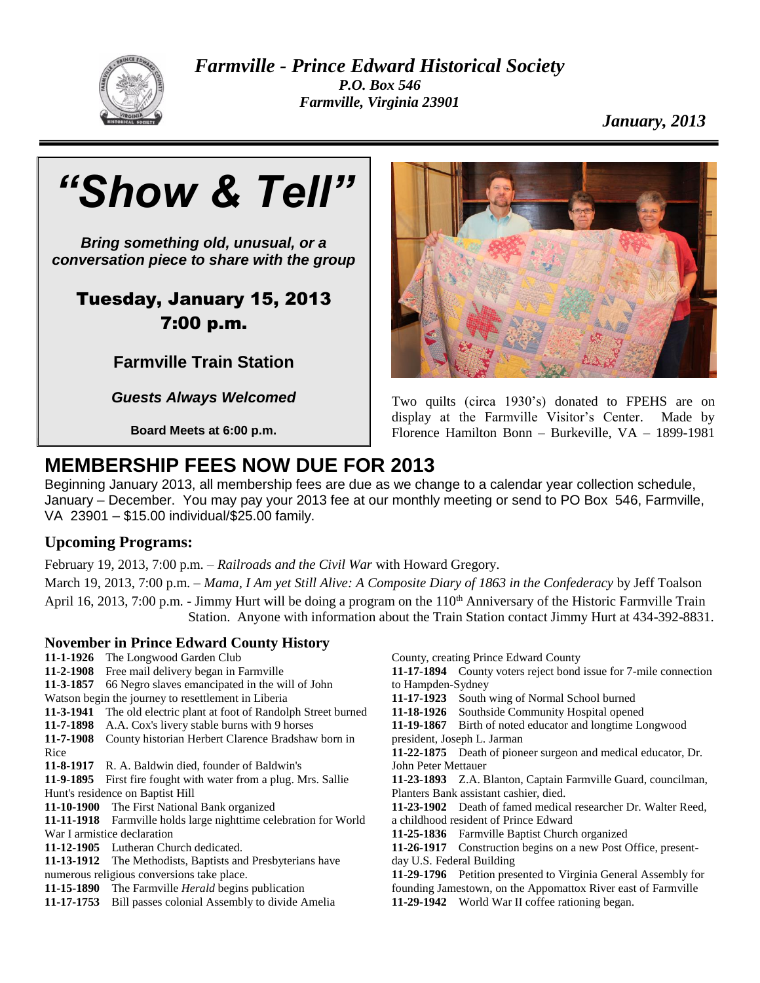

*Farmville - Prince Edward Historical Society P.O. Box 546 Farmville, Virginia 23901*

*January, 2013*



*Bring something old, unusual, or a conversation piece to share with the group*

## Tuesday, January 15, 2013 7:00 p.m.

**Farmville Train Station**

*Guests Always Welcomed*

**Board Meets at 6:00 p.m.**



Two quilts (circa 1930's) donated to FPEHS are on display at the Farmville Visitor's Center. Made by Florence Hamilton Bonn – Burkeville, VA – 1899-1981

# **MEMBERSHIP FEES NOW DUE FOR 2013**

Beginning January 2013, all membership fees are due as we change to a calendar year collection schedule, January – December. You may pay your 2013 fee at our monthly meeting or send to PO Box 546, Farmville, VA 23901 – \$15.00 individual/\$25.00 family.

## **Upcoming Programs:**

February 19, 2013, 7:00 p.m. – *Railroads and the Civil War* with Howard Gregory.

March 19, 2013, 7:00 p.m. – *Mama, I Am yet Still Alive: A Composite Diary of 1863 in the Confederacy* by Jeff Toalson April 16, 2013, 7:00 p.m. - Jimmy Hurt will be doing a program on the  $110<sup>th</sup>$  Anniversary of the Historic Farmville Train Station. Anyone with information about the Train Station contact Jimmy Hurt at 434-392-8831.

## **November in Prince Edward County History**

- **11-1-1926** The Longwood Garden Club **11-2-1908** Free mail delivery began in Farmville **11-3-1857** 66 Negro slaves emancipated in the will of John Watson begin the journey to resettlement in Liberia
- **11-3-1941** The old electric plant at foot of Randolph Street burned
- **11-7-1898** A.A. Cox's livery stable burns with 9 horses
- **11-7-1908** County historian Herbert Clarence Bradshaw born in Rice
- **11-8-1917** R. A. Baldwin died, founder of Baldwin's
- **11-9-1895** First fire fought with water from a plug. Mrs. Sallie Hunt's residence on Baptist Hill
- **11-10-1900** The First National Bank organized
- **11-11-1918** Farmville holds large nighttime celebration for World War I armistice declaration
- **11-12-1905** Lutheran Church dedicated.
- **11-13-1912** The Methodists, Baptists and Presbyterians have numerous religious conversions take place.
- **11-15-1890** The Farmville *Herald* begins publication
- **11-17-1753** Bill passes colonial Assembly to divide Amelia

County, creating Prince Edward County

- **11-17-1894** County voters reject bond issue for 7-mile connection to Hampden-Sydney
- **11-17-1923** South wing of Normal School burned
- **11-18-1926** Southside Community Hospital opened
- **11-19-1867** Birth of noted educator and longtime Longwood president, Joseph L. Jarman
- **11-22-1875** Death of pioneer surgeon and medical educator, Dr. John Peter Mettauer
- **11-23-1893** Z.A. Blanton, Captain Farmville Guard, councilman, Planters Bank assistant cashier, died.
- **11-23-1902** Death of famed medical researcher Dr. Walter Reed, a childhood resident of Prince Edward
- **11-25-1836** Farmville Baptist Church organized
- **11-26-1917** Construction begins on a new Post Office, presentday U.S. Federal Building
- **11-29-1796** Petition presented to Virginia General Assembly for founding Jamestown, on the Appomattox River east of Farmville
- **11-29-1942** World War II coffee rationing began.